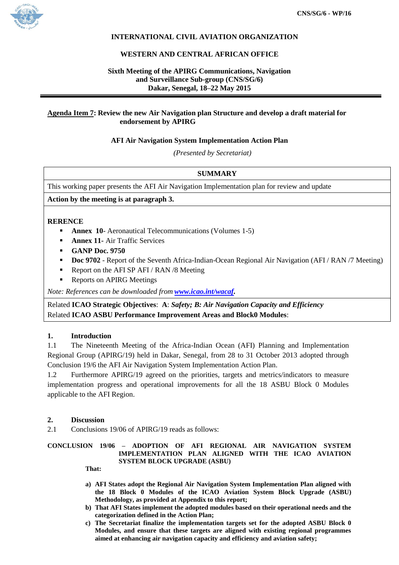

# **INTERNATIONAL CIVIL AVIATION ORGANIZATION**

### **WESTERN AND CENTRAL AFRICAN OFFICE**

# **Sixth Meeting of the APIRG Communications, Navigation and Surveillance Sub-group (CNS/SG/6) Dakar, Senegal, 18–22 May 2015**

## **Agenda Item 7: Review the new Air Navigation plan Structure and develop a draft material for endorsement by APIRG**

### **AFI Air Navigation System Implementation Action Plan**

*(Presented by Secretariat)*

# **SUMMARY**

This working paper presents the AFI Air Navigation Implementation plan for review and update

### **Action by the meeting is at paragraph 3.**

#### **RERENCE**

- **Annex 10** Aeronautical Telecommunications (Volumes 1-5)
- **Annex 11-** Air Traffic Services
- **GANP Doc. 9750**
- **Doc 9702** Report of the Seventh Africa-Indian-Ocean Regional Air Navigation (AFI / RAN /7 Meeting)
- Report on the AFI SP AFI / RAN  $/8$  Meeting
- Reports on APIRG Meetings

*Note: References can be downloaded from [www.icao.int/wacaf.](http://www.icao.int/wacaf)*

Related **ICAO Strategic Objectives**: **A**: *Safety; B: Air Navigation Capacity and Efficiency* Related **ICAO ASBU Performance Improvement Areas and Block0 Modules**:

### **1. Introduction**

1.1 The Nineteenth Meeting of the Africa-Indian Ocean (AFI) Planning and Implementation Regional Group (APIRG/19) held in Dakar, Senegal, from 28 to 31 October 2013 adopted through Conclusion 19/6 the AFI Air Navigation System Implementation Action Plan.

1.2 Furthermore APIRG/19 agreed on the priorities, targets and metrics/indicators to measure implementation progress and operational improvements for all the 18 ASBU Block 0 Modules applicable to the AFI Region.

#### **2. Discussion**

2.1 Conclusions 19/06 of APIRG/19 reads as follows:

#### **CONCLUSION 19/06 – ADOPTION OF AFI REGIONAL AIR NAVIGATION SYSTEM IMPLEMENTATION PLAN ALIGNED WITH THE ICAO AVIATION SYSTEM BLOCK UPGRADE (ASBU)**

**That:**

- **a) AFI States adopt the Regional Air Navigation System Implementation Plan aligned with the 18 Block 0 Modules of the ICAO Aviation System Block Upgrade (ASBU) Methodology, as provided at Appendix to this report;**
- **b) That AFI States implement the adopted modules based on their operational needs and the categorization defined in the Action Plan;**
- **c) The Secretariat finalize the implementation targets set for the adopted ASBU Block 0 Modules, and ensure that these targets are aligned with existing regional programmes aimed at enhancing air navigation capacity and efficiency and aviation safety;**